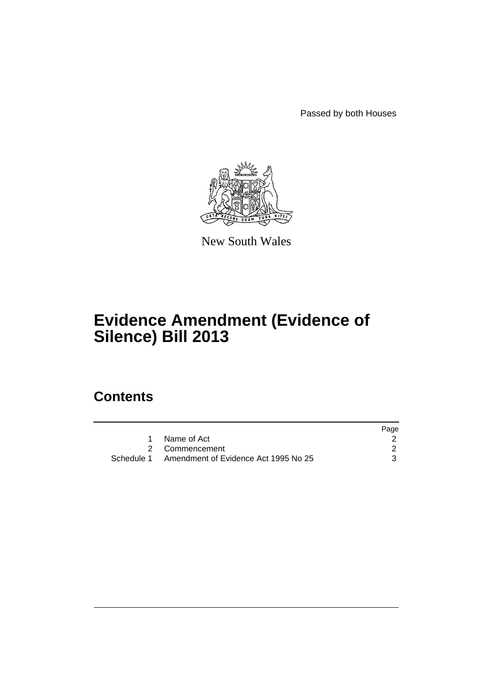Passed by both Houses



New South Wales

# **Evidence Amendment (Evidence of Silence) Bill 2013**

# **Contents**

|                                                 | Page |
|-------------------------------------------------|------|
| 1 Name of Act                                   |      |
| 2 Commencement                                  |      |
| Schedule 1 Amendment of Evidence Act 1995 No 25 |      |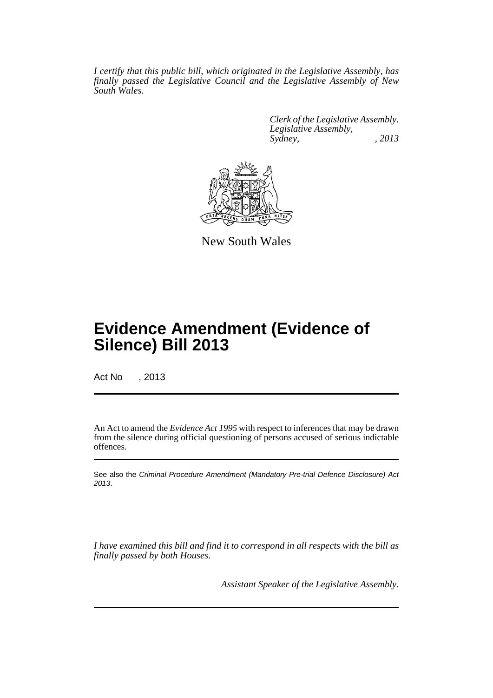*I certify that this public bill, which originated in the Legislative Assembly, has finally passed the Legislative Council and the Legislative Assembly of New South Wales.*

> *Clerk of the Legislative Assembly. Legislative Assembly, Sydney, , 2013*



New South Wales

# **Evidence Amendment (Evidence of Silence) Bill 2013**

Act No , 2013

An Act to amend the *Evidence Act 1995* with respect to inferences that may be drawn from the silence during official questioning of persons accused of serious indictable offences.

See also the *Criminal Procedure Amendment (Mandatory Pre-trial Defence Disclosure) Act 2013*.

*I have examined this bill and find it to correspond in all respects with the bill as finally passed by both Houses.*

*Assistant Speaker of the Legislative Assembly.*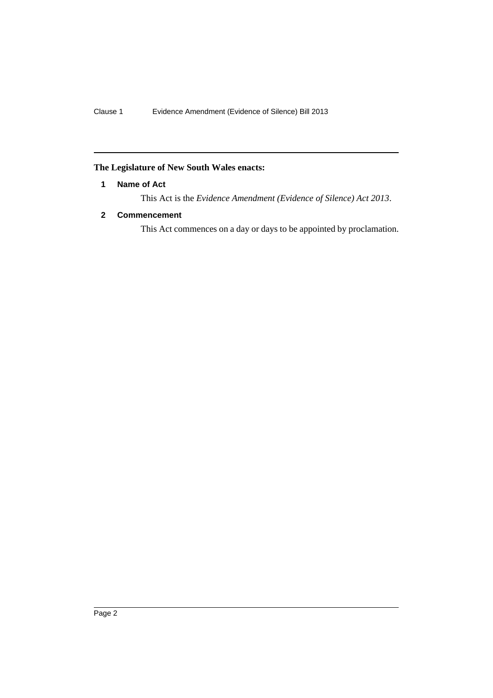# <span id="page-3-0"></span>**The Legislature of New South Wales enacts:**

## **1 Name of Act**

This Act is the *Evidence Amendment (Evidence of Silence) Act 2013*.

## <span id="page-3-1"></span>**2 Commencement**

This Act commences on a day or days to be appointed by proclamation.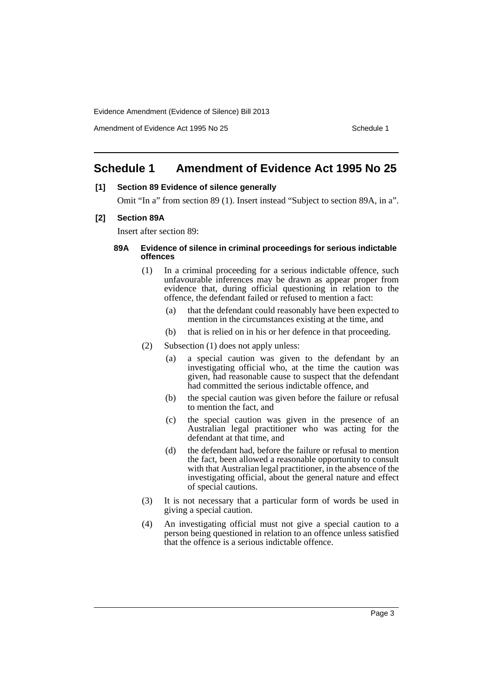Amendment of Evidence Act 1995 No 25 Schedule 1

# <span id="page-4-0"></span>**Schedule 1 Amendment of Evidence Act 1995 No 25**

### **[1] Section 89 Evidence of silence generally**

Omit "In a" from section 89 (1). Insert instead "Subject to section 89A, in a".

#### **[2] Section 89A**

Insert after section 89:

#### **89A Evidence of silence in criminal proceedings for serious indictable offences**

- (1) In a criminal proceeding for a serious indictable offence, such unfavourable inferences may be drawn as appear proper from evidence that, during official questioning in relation to the offence, the defendant failed or refused to mention a fact:
	- (a) that the defendant could reasonably have been expected to mention in the circumstances existing at the time, and
	- (b) that is relied on in his or her defence in that proceeding.
- (2) Subsection (1) does not apply unless:
	- (a) a special caution was given to the defendant by an investigating official who, at the time the caution was given, had reasonable cause to suspect that the defendant had committed the serious indictable offence, and
	- (b) the special caution was given before the failure or refusal to mention the fact, and
	- (c) the special caution was given in the presence of an Australian legal practitioner who was acting for the defendant at that time, and
	- (d) the defendant had, before the failure or refusal to mention the fact, been allowed a reasonable opportunity to consult with that Australian legal practitioner, in the absence of the investigating official, about the general nature and effect of special cautions.
- (3) It is not necessary that a particular form of words be used in giving a special caution.
- (4) An investigating official must not give a special caution to a person being questioned in relation to an offence unless satisfied that the offence is a serious indictable offence.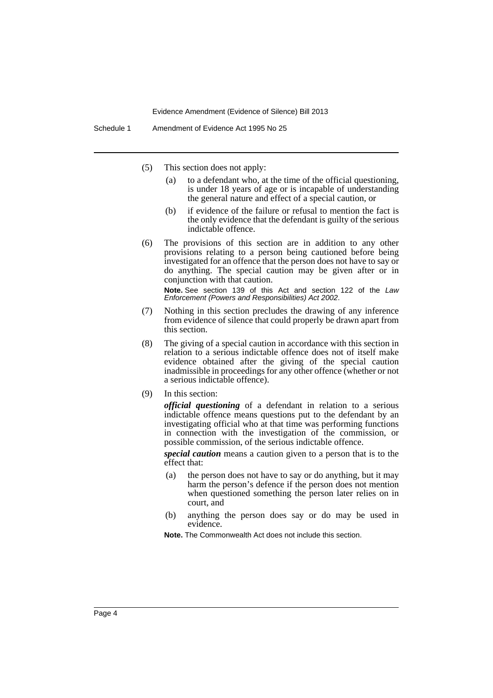- (5) This section does not apply:
	- (a) to a defendant who, at the time of the official questioning, is under 18 years of age or is incapable of understanding the general nature and effect of a special caution, or
	- (b) if evidence of the failure or refusal to mention the fact is the only evidence that the defendant is guilty of the serious indictable offence.
- (6) The provisions of this section are in addition to any other provisions relating to a person being cautioned before being investigated for an offence that the person does not have to say or do anything. The special caution may be given after or in conjunction with that caution.

**Note.** See section 139 of this Act and section 122 of the *Law Enforcement (Powers and Responsibilities) Act 2002*.

- (7) Nothing in this section precludes the drawing of any inference from evidence of silence that could properly be drawn apart from this section.
- (8) The giving of a special caution in accordance with this section in relation to a serious indictable offence does not of itself make evidence obtained after the giving of the special caution inadmissible in proceedings for any other offence (whether or not a serious indictable offence).
- (9) In this section:

*official questioning* of a defendant in relation to a serious indictable offence means questions put to the defendant by an investigating official who at that time was performing functions in connection with the investigation of the commission, or possible commission, of the serious indictable offence.

*special caution* means a caution given to a person that is to the effect that:

- (a) the person does not have to say or do anything, but it may harm the person's defence if the person does not mention when questioned something the person later relies on in court, and
- (b) anything the person does say or do may be used in evidence.

**Note.** The Commonwealth Act does not include this section.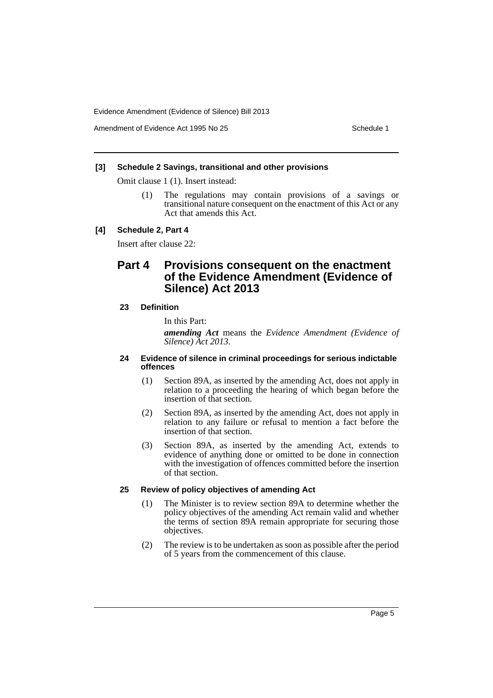Amendment of Evidence Act 1995 No 25 Schedule 1

#### **[3] Schedule 2 Savings, transitional and other provisions**

Omit clause 1 (1). Insert instead:

(1) The regulations may contain provisions of a savings or transitional nature consequent on the enactment of this Act or any Act that amends this Act.

### **[4] Schedule 2, Part 4**

Insert after clause 22:

# **Part 4 Provisions consequent on the enactment of the Evidence Amendment (Evidence of Silence) Act 2013**

### **23 Definition**

In this Part:

*amending Act* means the *Evidence Amendment (Evidence of Silence) Act 2013*.

#### **24 Evidence of silence in criminal proceedings for serious indictable offences**

- (1) Section 89A, as inserted by the amending Act, does not apply in relation to a proceeding the hearing of which began before the insertion of that section.
- (2) Section 89A, as inserted by the amending Act, does not apply in relation to any failure or refusal to mention a fact before the insertion of that section.
- (3) Section 89A, as inserted by the amending Act, extends to evidence of anything done or omitted to be done in connection with the investigation of offences committed before the insertion of that section.

## **25 Review of policy objectives of amending Act**

- (1) The Minister is to review section 89A to determine whether the policy objectives of the amending Act remain valid and whether the terms of section 89A remain appropriate for securing those objectives.
- (2) The review is to be undertaken as soon as possible after the period of 5 years from the commencement of this clause.